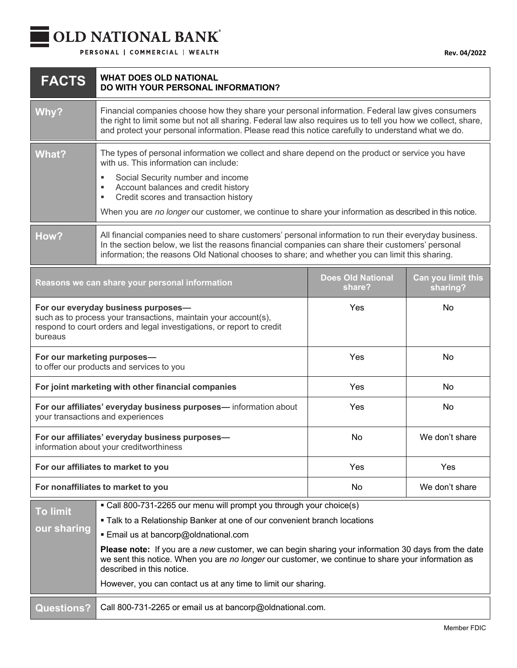## OLD NATIONAL BANK®

PERSONAL | COMMERCIAL | WEALTH

| <b>FACTS</b>                                                                                                                                                                               | <b>WHAT DOES OLD NATIONAL</b><br>DO WITH YOUR PERSONAL INFORMATION?                                                                                                                                                                                                                                                                                                                                                                                                                                |                                    |                                |
|--------------------------------------------------------------------------------------------------------------------------------------------------------------------------------------------|----------------------------------------------------------------------------------------------------------------------------------------------------------------------------------------------------------------------------------------------------------------------------------------------------------------------------------------------------------------------------------------------------------------------------------------------------------------------------------------------------|------------------------------------|--------------------------------|
| Why?                                                                                                                                                                                       | Financial companies choose how they share your personal information. Federal law gives consumers<br>the right to limit some but not all sharing. Federal law also requires us to tell you how we collect, share,<br>and protect your personal information. Please read this notice carefully to understand what we do.                                                                                                                                                                             |                                    |                                |
| <b>What?</b>                                                                                                                                                                               | The types of personal information we collect and share depend on the product or service you have<br>with us. This information can include:<br>Social Security number and income<br>Account balances and credit history<br>٠<br>Credit scores and transaction history<br>٠<br>When you are no longer our customer, we continue to share your information as described in this notice.                                                                                                               |                                    |                                |
| How?                                                                                                                                                                                       | All financial companies need to share customers' personal information to run their everyday business.<br>In the section below, we list the reasons financial companies can share their customers' personal<br>information; the reasons Old National chooses to share; and whether you can limit this sharing.                                                                                                                                                                                      |                                    |                                |
|                                                                                                                                                                                            | Reasons we can share your personal information                                                                                                                                                                                                                                                                                                                                                                                                                                                     | <b>Does Old National</b><br>share? | Can you limit this<br>sharing? |
| For our everyday business purposes-<br>such as to process your transactions, maintain your account(s),<br>respond to court orders and legal investigations, or report to credit<br>bureaus |                                                                                                                                                                                                                                                                                                                                                                                                                                                                                                    | Yes                                | <b>No</b>                      |
| For our marketing purposes-<br>to offer our products and services to you                                                                                                                   |                                                                                                                                                                                                                                                                                                                                                                                                                                                                                                    | Yes                                | <b>No</b>                      |
| For joint marketing with other financial companies                                                                                                                                         |                                                                                                                                                                                                                                                                                                                                                                                                                                                                                                    | Yes                                | <b>No</b>                      |
| For our affiliates' everyday business purposes- information about<br>your transactions and experiences                                                                                     |                                                                                                                                                                                                                                                                                                                                                                                                                                                                                                    | Yes                                | No                             |
| For our affiliates' everyday business purposes-<br>information about your creditworthiness                                                                                                 |                                                                                                                                                                                                                                                                                                                                                                                                                                                                                                    | No                                 | We don't share                 |
| For our affiliates to market to you                                                                                                                                                        |                                                                                                                                                                                                                                                                                                                                                                                                                                                                                                    | Yes                                | Yes                            |
| For nonaffiliates to market to you                                                                                                                                                         |                                                                                                                                                                                                                                                                                                                                                                                                                                                                                                    | No                                 | We don't share                 |
| <b>To limit</b><br>our sharing                                                                                                                                                             | • Call 800-731-2265 our menu will prompt you through your choice(s)<br>. Talk to a Relationship Banker at one of our convenient branch locations<br>Email us at bancorp@oldnational.com<br>Please note: If you are a new customer, we can begin sharing your information 30 days from the date<br>we sent this notice. When you are no longer our customer, we continue to share your information as<br>described in this notice.<br>However, you can contact us at any time to limit our sharing. |                                    |                                |
| <b>Questions?</b>                                                                                                                                                                          | Call 800-731-2265 or email us at bancorp@oldnational.com.                                                                                                                                                                                                                                                                                                                                                                                                                                          |                                    |                                |